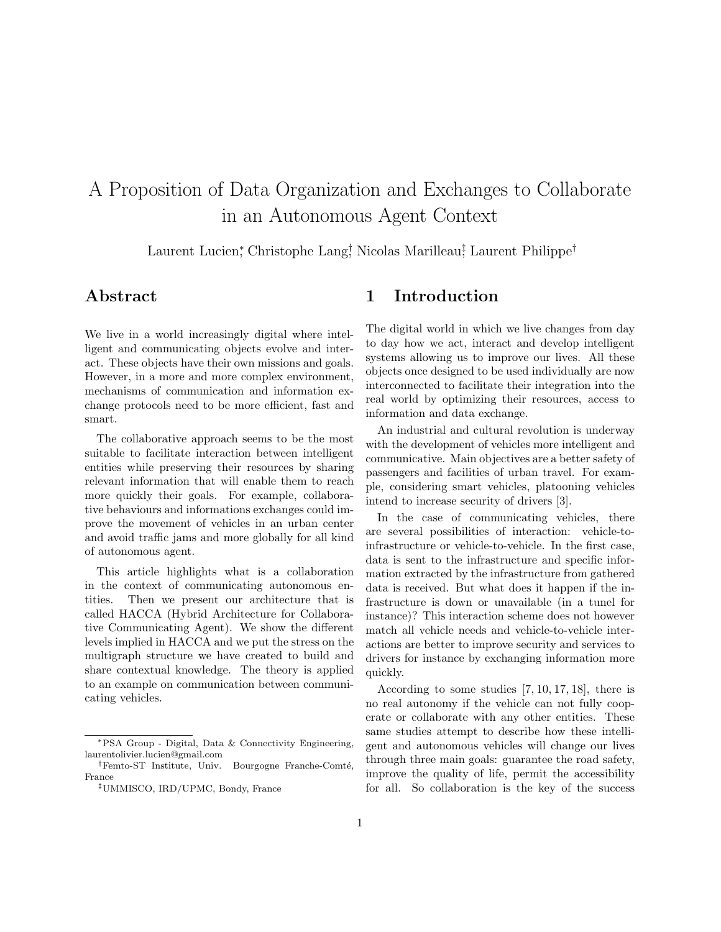# A Proposition of Data Organization and Exchanges to Collaborate in an Autonomous Agent Context

Laurent Lucien<sup>\*</sup>, Christophe Lang<sup>†</sup>, Nicolas Marilleau<sup>‡</sup>, Laurent Philippe<sup>†</sup>

### Abstract

We live in a world increasingly digital where intelligent and communicating objects evolve and interact. These objects have their own missions and goals. However, in a more and more complex environment, mechanisms of communication and information exchange protocols need to be more efficient, fast and smart.

The collaborative approach seems to be the most suitable to facilitate interaction between intelligent entities while preserving their resources by sharing relevant information that will enable them to reach more quickly their goals. For example, collaborative behaviours and informations exchanges could improve the movement of vehicles in an urban center and avoid traffic jams and more globally for all kind of autonomous agent.

This article highlights what is a collaboration in the context of communicating autonomous entities. Then we present our architecture that is called HACCA (Hybrid Architecture for Collaborative Communicating Agent). We show the different levels implied in HACCA and we put the stress on the multigraph structure we have created to build and share contextual knowledge. The theory is applied to an example on communication between communicating vehicles.

## 1 Introduction

The digital world in which we live changes from day to day how we act, interact and develop intelligent systems allowing us to improve our lives. All these objects once designed to be used individually are now interconnected to facilitate their integration into the real world by optimizing their resources, access to information and data exchange.

An industrial and cultural revolution is underway with the development of vehicles more intelligent and communicative. Main objectives are a better safety of passengers and facilities of urban travel. For example, considering smart vehicles, platooning vehicles intend to increase security of drivers [3].

In the case of communicating vehicles, there are several possibilities of interaction: vehicle-toinfrastructure or vehicle-to-vehicle. In the first case, data is sent to the infrastructure and specific information extracted by the infrastructure from gathered data is received. But what does it happen if the infrastructure is down or unavailable (in a tunel for instance)? This interaction scheme does not however match all vehicle needs and vehicle-to-vehicle interactions are better to improve security and services to drivers for instance by exchanging information more quickly.

According to some studies [7, 10, 17, 18], there is no real autonomy if the vehicle can not fully cooperate or collaborate with any other entities. These same studies attempt to describe how these intelligent and autonomous vehicles will change our lives through three main goals: guarantee the road safety, improve the quality of life, permit the accessibility for all. So collaboration is the key of the success

<sup>∗</sup>PSA Group - Digital, Data & Connectivity Engineering, laurentolivier.lucien@gmail.com

<sup>&</sup>lt;sup>†</sup>Femto-ST Institute, Univ. Bourgogne Franche-Comté, France

<sup>‡</sup>UMMISCO, IRD/UPMC, Bondy, France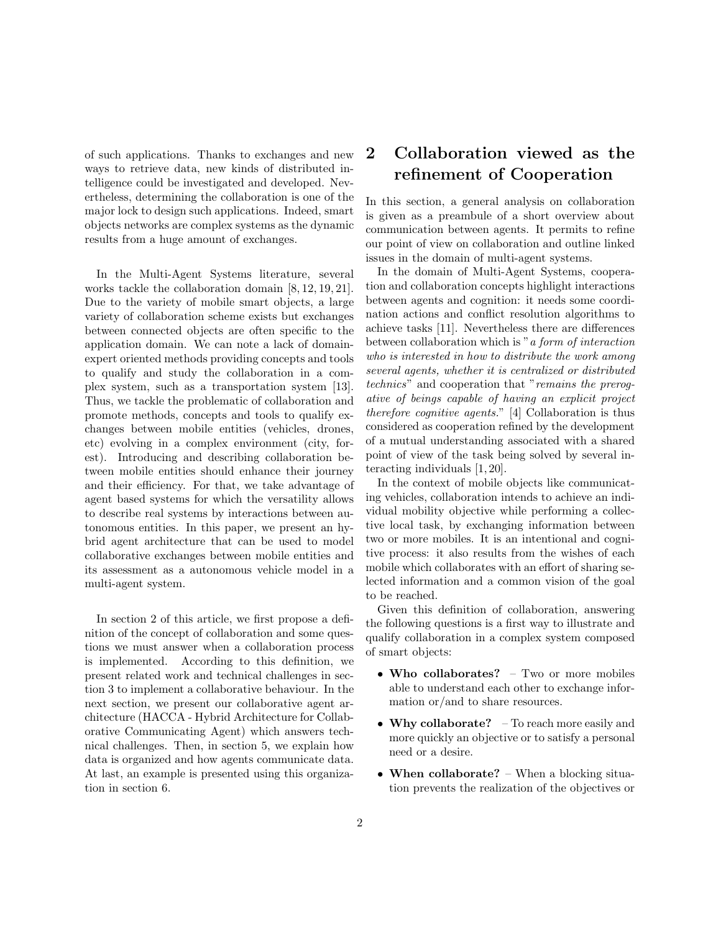of such applications. Thanks to exchanges and new ways to retrieve data, new kinds of distributed intelligence could be investigated and developed. Nevertheless, determining the collaboration is one of the major lock to design such applications. Indeed, smart objects networks are complex systems as the dynamic results from a huge amount of exchanges.

In the Multi-Agent Systems literature, several works tackle the collaboration domain [8, 12, 19, 21]. Due to the variety of mobile smart objects, a large variety of collaboration scheme exists but exchanges between connected objects are often specific to the application domain. We can note a lack of domainexpert oriented methods providing concepts and tools to qualify and study the collaboration in a complex system, such as a transportation system [13]. Thus, we tackle the problematic of collaboration and promote methods, concepts and tools to qualify exchanges between mobile entities (vehicles, drones, etc) evolving in a complex environment (city, forest). Introducing and describing collaboration between mobile entities should enhance their journey and their efficiency. For that, we take advantage of agent based systems for which the versatility allows to describe real systems by interactions between autonomous entities. In this paper, we present an hybrid agent architecture that can be used to model collaborative exchanges between mobile entities and its assessment as a autonomous vehicle model in a multi-agent system.

In section 2 of this article, we first propose a definition of the concept of collaboration and some questions we must answer when a collaboration process is implemented. According to this definition, we present related work and technical challenges in section 3 to implement a collaborative behaviour. In the next section, we present our collaborative agent architecture (HACCA - Hybrid Architecture for Collaborative Communicating Agent) which answers technical challenges. Then, in section 5, we explain how data is organized and how agents communicate data. At last, an example is presented using this organization in section 6.

## 2 Collaboration viewed as the refinement of Cooperation

In this section, a general analysis on collaboration is given as a preambule of a short overview about communication between agents. It permits to refine our point of view on collaboration and outline linked issues in the domain of multi-agent systems.

In the domain of Multi-Agent Systems, cooperation and collaboration concepts highlight interactions between agents and cognition: it needs some coordination actions and conflict resolution algorithms to achieve tasks [11]. Nevertheless there are differences between collaboration which is "a form of interaction who is interested in how to distribute the work among several agents, whether it is centralized or distributed technics" and cooperation that "remains the prerogative of beings capable of having an explicit project therefore cognitive agents." [4] Collaboration is thus considered as cooperation refined by the development of a mutual understanding associated with a shared point of view of the task being solved by several interacting individuals [1, 20].

In the context of mobile objects like communicating vehicles, collaboration intends to achieve an individual mobility objective while performing a collective local task, by exchanging information between two or more mobiles. It is an intentional and cognitive process: it also results from the wishes of each mobile which collaborates with an effort of sharing selected information and a common vision of the goal to be reached.

Given this definition of collaboration, answering the following questions is a first way to illustrate and qualify collaboration in a complex system composed of smart objects:

- Who collaborates? Two or more mobiles able to understand each other to exchange information or/and to share resources.
- Why collaborate? To reach more easily and more quickly an objective or to satisfy a personal need or a desire.
- When collaborate? When a blocking situation prevents the realization of the objectives or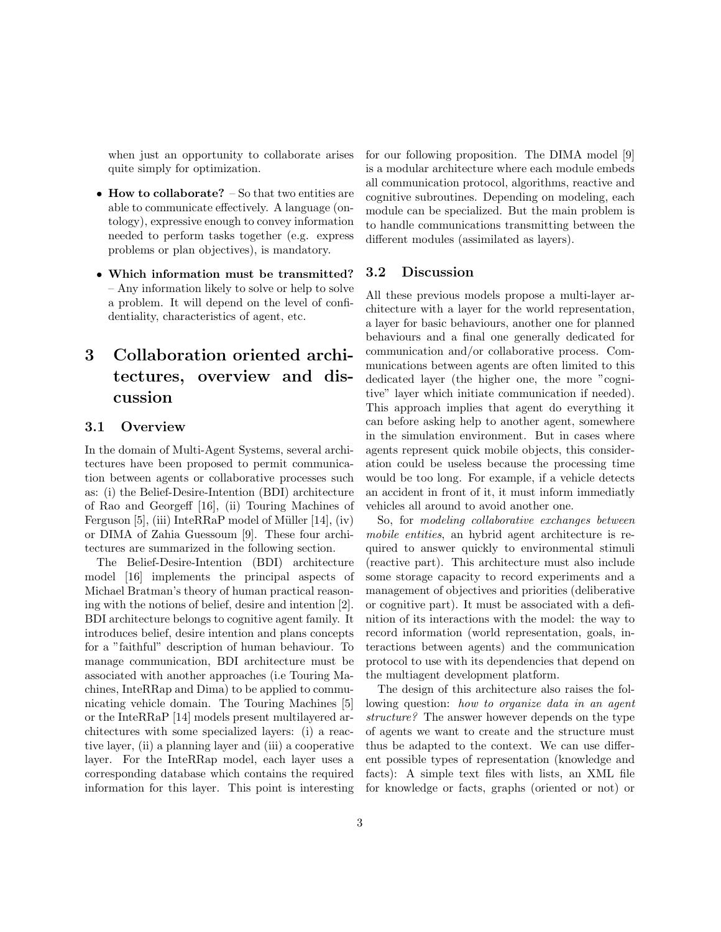when just an opportunity to collaborate arises quite simply for optimization.

- How to collaborate? So that two entities are able to communicate effectively. A language (ontology), expressive enough to convey information needed to perform tasks together (e.g. express problems or plan objectives), is mandatory.
- Which information must be transmitted? – Any information likely to solve or help to solve a problem. It will depend on the level of confidentiality, characteristics of agent, etc.

## 3 Collaboration oriented architectures, overview and discussion

#### 3.1 Overview

In the domain of Multi-Agent Systems, several architectures have been proposed to permit communication between agents or collaborative processes such as: (i) the Belief-Desire-Intention (BDI) architecture of Rao and Georgeff [16], (ii) Touring Machines of Ferguson  $[5]$ , (iii) InteRRaP model of Müller  $[14]$ , (iv) or DIMA of Zahia Guessoum [9]. These four architectures are summarized in the following section.

The Belief-Desire-Intention (BDI) architecture model [16] implements the principal aspects of Michael Bratman's theory of human practical reasoning with the notions of belief, desire and intention [2]. BDI architecture belongs to cognitive agent family. It introduces belief, desire intention and plans concepts for a "faithful" description of human behaviour. To manage communication, BDI architecture must be associated with another approaches (i.e Touring Machines, InteRRap and Dima) to be applied to communicating vehicle domain. The Touring Machines [5] or the InteRRaP [14] models present multilayered architectures with some specialized layers: (i) a reactive layer, (ii) a planning layer and (iii) a cooperative layer. For the InteRRap model, each layer uses a corresponding database which contains the required information for this layer. This point is interesting for our following proposition. The DIMA model [9] is a modular architecture where each module embeds all communication protocol, algorithms, reactive and cognitive subroutines. Depending on modeling, each module can be specialized. But the main problem is to handle communications transmitting between the different modules (assimilated as layers).

#### 3.2 Discussion

All these previous models propose a multi-layer architecture with a layer for the world representation, a layer for basic behaviours, another one for planned behaviours and a final one generally dedicated for communication and/or collaborative process. Communications between agents are often limited to this dedicated layer (the higher one, the more "cognitive" layer which initiate communication if needed). This approach implies that agent do everything it can before asking help to another agent, somewhere in the simulation environment. But in cases where agents represent quick mobile objects, this consideration could be useless because the processing time would be too long. For example, if a vehicle detects an accident in front of it, it must inform immediatly vehicles all around to avoid another one.

So, for modeling collaborative exchanges between mobile entities, an hybrid agent architecture is required to answer quickly to environmental stimuli (reactive part). This architecture must also include some storage capacity to record experiments and a management of objectives and priorities (deliberative or cognitive part). It must be associated with a definition of its interactions with the model: the way to record information (world representation, goals, interactions between agents) and the communication protocol to use with its dependencies that depend on the multiagent development platform.

The design of this architecture also raises the following question: how to organize data in an agent structure? The answer however depends on the type of agents we want to create and the structure must thus be adapted to the context. We can use different possible types of representation (knowledge and facts): A simple text files with lists, an XML file for knowledge or facts, graphs (oriented or not) or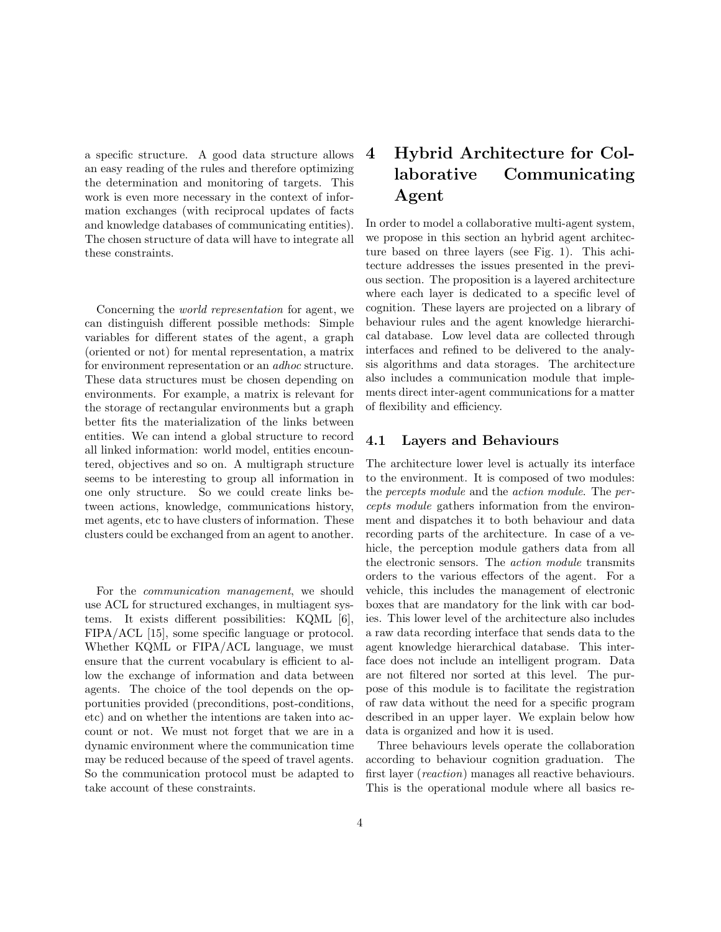a specific structure. A good data structure allows an easy reading of the rules and therefore optimizing the determination and monitoring of targets. This work is even more necessary in the context of information exchanges (with reciprocal updates of facts and knowledge databases of communicating entities). The chosen structure of data will have to integrate all these constraints.

Concerning the world representation for agent, we can distinguish different possible methods: Simple variables for different states of the agent, a graph (oriented or not) for mental representation, a matrix for environment representation or an adhoc structure. These data structures must be chosen depending on environments. For example, a matrix is relevant for the storage of rectangular environments but a graph better fits the materialization of the links between entities. We can intend a global structure to record all linked information: world model, entities encountered, objectives and so on. A multigraph structure seems to be interesting to group all information in one only structure. So we could create links between actions, knowledge, communications history, met agents, etc to have clusters of information. These clusters could be exchanged from an agent to another.

For the communication management, we should use ACL for structured exchanges, in multiagent systems. It exists different possibilities: KQML [6], FIPA/ACL [15], some specific language or protocol. Whether KQML or FIPA/ACL language, we must ensure that the current vocabulary is efficient to allow the exchange of information and data between agents. The choice of the tool depends on the opportunities provided (preconditions, post-conditions, etc) and on whether the intentions are taken into account or not. We must not forget that we are in a dynamic environment where the communication time may be reduced because of the speed of travel agents. So the communication protocol must be adapted to take account of these constraints.

## 4 Hybrid Architecture for Collaborative Communicating Agent

In order to model a collaborative multi-agent system, we propose in this section an hybrid agent architecture based on three layers (see Fig. 1). This achitecture addresses the issues presented in the previous section. The proposition is a layered architecture where each layer is dedicated to a specific level of cognition. These layers are projected on a library of behaviour rules and the agent knowledge hierarchical database. Low level data are collected through interfaces and refined to be delivered to the analysis algorithms and data storages. The architecture also includes a communication module that implements direct inter-agent communications for a matter of flexibility and efficiency.

#### 4.1 Layers and Behaviours

The architecture lower level is actually its interface to the environment. It is composed of two modules: the percepts module and the action module. The percepts module gathers information from the environment and dispatches it to both behaviour and data recording parts of the architecture. In case of a vehicle, the perception module gathers data from all the electronic sensors. The action module transmits orders to the various effectors of the agent. For a vehicle, this includes the management of electronic boxes that are mandatory for the link with car bodies. This lower level of the architecture also includes a raw data recording interface that sends data to the agent knowledge hierarchical database. This interface does not include an intelligent program. Data are not filtered nor sorted at this level. The purpose of this module is to facilitate the registration of raw data without the need for a specific program described in an upper layer. We explain below how data is organized and how it is used.

Three behaviours levels operate the collaboration according to behaviour cognition graduation. The first layer (reaction) manages all reactive behaviours. This is the operational module where all basics re-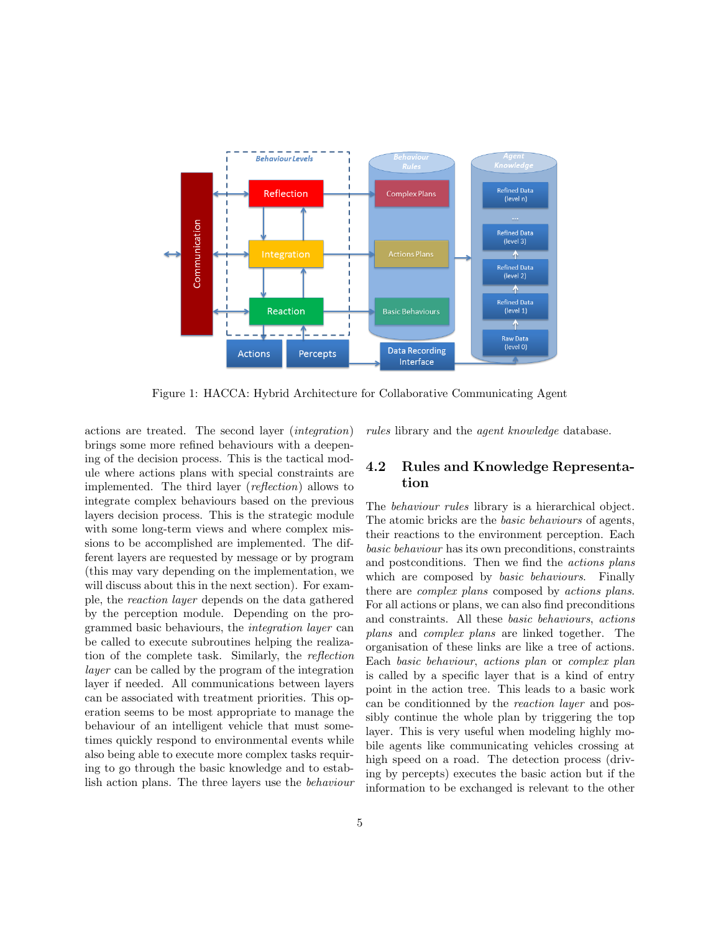

Figure 1: HACCA: Hybrid Architecture for Collaborative Communicating Agent

actions are treated. The second layer (integration) brings some more refined behaviours with a deepening of the decision process. This is the tactical module where actions plans with special constraints are implemented. The third layer (reflection) allows to integrate complex behaviours based on the previous layers decision process. This is the strategic module with some long-term views and where complex missions to be accomplished are implemented. The different layers are requested by message or by program (this may vary depending on the implementation, we will discuss about this in the next section). For example, the reaction layer depends on the data gathered by the perception module. Depending on the programmed basic behaviours, the integration layer can be called to execute subroutines helping the realization of the complete task. Similarly, the reflection layer can be called by the program of the integration layer if needed. All communications between layers can be associated with treatment priorities. This operation seems to be most appropriate to manage the behaviour of an intelligent vehicle that must sometimes quickly respond to environmental events while also being able to execute more complex tasks requiring to go through the basic knowledge and to establish action plans. The three layers use the behaviour rules library and the agent knowledge database.

### 4.2 Rules and Knowledge Representation

The behaviour rules library is a hierarchical object. The atomic bricks are the basic behaviours of agents, their reactions to the environment perception. Each basic behaviour has its own preconditions, constraints and postconditions. Then we find the actions plans which are composed by *basic behaviours*. Finally there are *complex plans* composed by *actions plans*. For all actions or plans, we can also find preconditions and constraints. All these basic behaviours, actions plans and complex plans are linked together. The organisation of these links are like a tree of actions. Each basic behaviour, actions plan or complex plan is called by a specific layer that is a kind of entry point in the action tree. This leads to a basic work can be conditionned by the reaction layer and possibly continue the whole plan by triggering the top layer. This is very useful when modeling highly mobile agents like communicating vehicles crossing at high speed on a road. The detection process (driving by percepts) executes the basic action but if the information to be exchanged is relevant to the other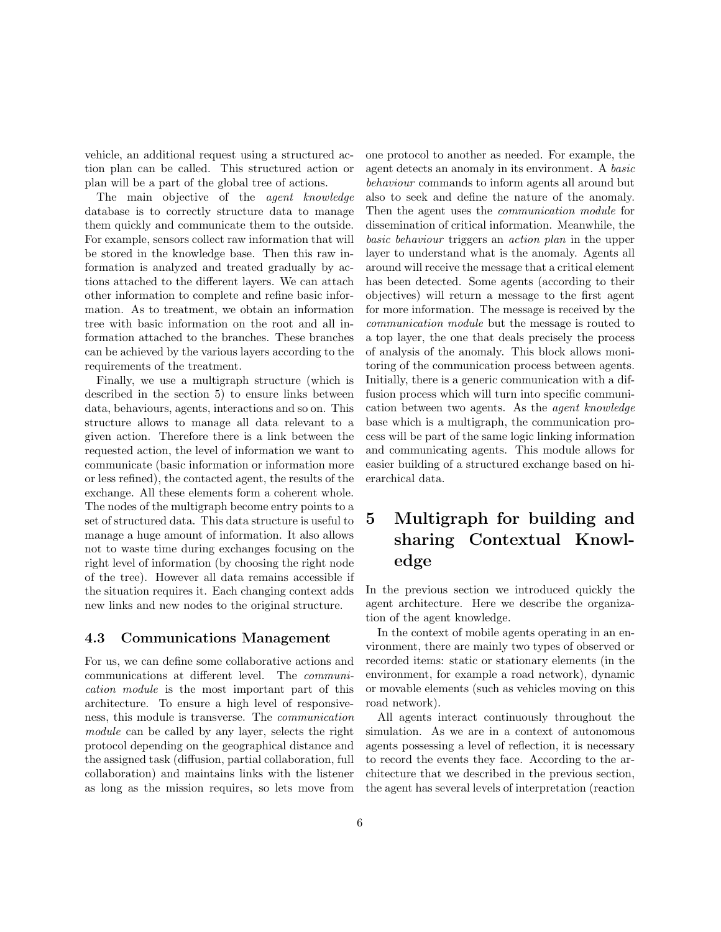vehicle, an additional request using a structured action plan can be called. This structured action or plan will be a part of the global tree of actions.

The main objective of the *agent knowledge* database is to correctly structure data to manage them quickly and communicate them to the outside. For example, sensors collect raw information that will be stored in the knowledge base. Then this raw information is analyzed and treated gradually by actions attached to the different layers. We can attach other information to complete and refine basic information. As to treatment, we obtain an information tree with basic information on the root and all information attached to the branches. These branches can be achieved by the various layers according to the requirements of the treatment.

Finally, we use a multigraph structure (which is described in the section 5) to ensure links between data, behaviours, agents, interactions and so on. This structure allows to manage all data relevant to a given action. Therefore there is a link between the requested action, the level of information we want to communicate (basic information or information more or less refined), the contacted agent, the results of the exchange. All these elements form a coherent whole. The nodes of the multigraph become entry points to a set of structured data. This data structure is useful to manage a huge amount of information. It also allows not to waste time during exchanges focusing on the right level of information (by choosing the right node of the tree). However all data remains accessible if the situation requires it. Each changing context adds new links and new nodes to the original structure.

#### 4.3 Communications Management

For us, we can define some collaborative actions and communications at different level. The communication module is the most important part of this architecture. To ensure a high level of responsiveness, this module is transverse. The communication module can be called by any layer, selects the right protocol depending on the geographical distance and the assigned task (diffusion, partial collaboration, full collaboration) and maintains links with the listener as long as the mission requires, so lets move from

one protocol to another as needed. For example, the agent detects an anomaly in its environment. A basic behaviour commands to inform agents all around but also to seek and define the nature of the anomaly. Then the agent uses the communication module for dissemination of critical information. Meanwhile, the basic behaviour triggers an action plan in the upper layer to understand what is the anomaly. Agents all around will receive the message that a critical element has been detected. Some agents (according to their objectives) will return a message to the first agent for more information. The message is received by the communication module but the message is routed to a top layer, the one that deals precisely the process of analysis of the anomaly. This block allows monitoring of the communication process between agents. Initially, there is a generic communication with a diffusion process which will turn into specific communication between two agents. As the agent knowledge base which is a multigraph, the communication process will be part of the same logic linking information and communicating agents. This module allows for easier building of a structured exchange based on hierarchical data.

## 5 Multigraph for building and sharing Contextual Knowledge

In the previous section we introduced quickly the agent architecture. Here we describe the organization of the agent knowledge.

In the context of mobile agents operating in an environment, there are mainly two types of observed or recorded items: static or stationary elements (in the environment, for example a road network), dynamic or movable elements (such as vehicles moving on this road network).

All agents interact continuously throughout the simulation. As we are in a context of autonomous agents possessing a level of reflection, it is necessary to record the events they face. According to the architecture that we described in the previous section, the agent has several levels of interpretation (reaction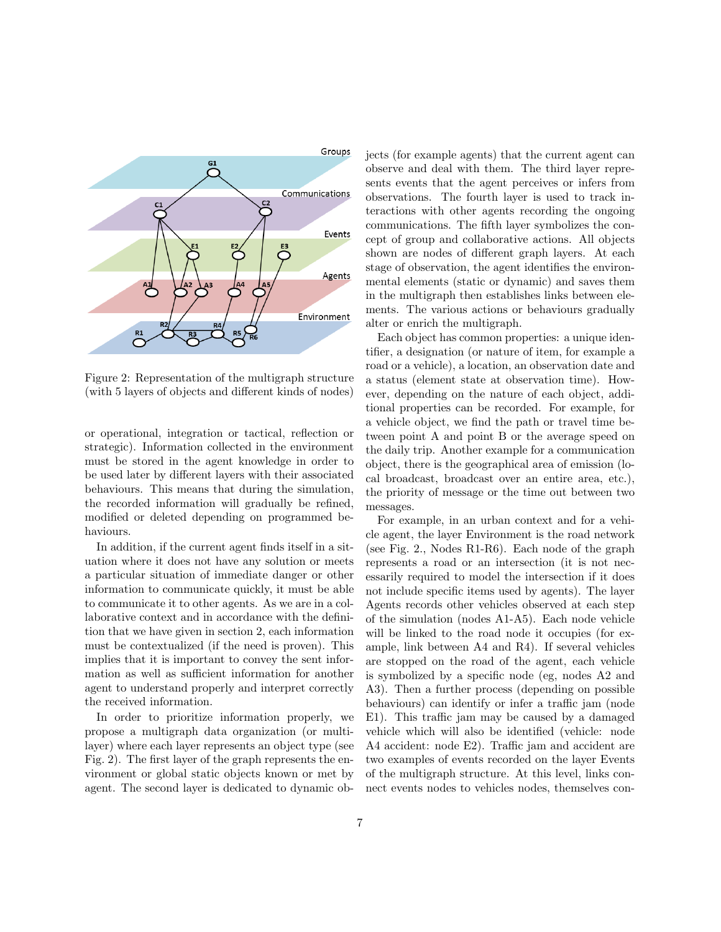

Figure 2: Representation of the multigraph structure (with 5 layers of objects and different kinds of nodes)

or operational, integration or tactical, reflection or strategic). Information collected in the environment must be stored in the agent knowledge in order to be used later by different layers with their associated behaviours. This means that during the simulation, the recorded information will gradually be refined, modified or deleted depending on programmed behaviours.

In addition, if the current agent finds itself in a situation where it does not have any solution or meets a particular situation of immediate danger or other information to communicate quickly, it must be able to communicate it to other agents. As we are in a collaborative context and in accordance with the definition that we have given in section 2, each information must be contextualized (if the need is proven). This implies that it is important to convey the sent information as well as sufficient information for another agent to understand properly and interpret correctly the received information.

In order to prioritize information properly, we propose a multigraph data organization (or multilayer) where each layer represents an object type (see Fig. 2). The first layer of the graph represents the environment or global static objects known or met by agent. The second layer is dedicated to dynamic objects (for example agents) that the current agent can observe and deal with them. The third layer represents events that the agent perceives or infers from observations. The fourth layer is used to track interactions with other agents recording the ongoing communications. The fifth layer symbolizes the concept of group and collaborative actions. All objects shown are nodes of different graph layers. At each stage of observation, the agent identifies the environmental elements (static or dynamic) and saves them in the multigraph then establishes links between elements. The various actions or behaviours gradually alter or enrich the multigraph.

Each object has common properties: a unique identifier, a designation (or nature of item, for example a road or a vehicle), a location, an observation date and a status (element state at observation time). However, depending on the nature of each object, additional properties can be recorded. For example, for a vehicle object, we find the path or travel time between point A and point B or the average speed on the daily trip. Another example for a communication object, there is the geographical area of emission (local broadcast, broadcast over an entire area, etc.), the priority of message or the time out between two messages.

For example, in an urban context and for a vehicle agent, the layer Environment is the road network (see Fig. 2., Nodes R1-R6). Each node of the graph represents a road or an intersection (it is not necessarily required to model the intersection if it does not include specific items used by agents). The layer Agents records other vehicles observed at each step of the simulation (nodes A1-A5). Each node vehicle will be linked to the road node it occupies (for example, link between A4 and R4). If several vehicles are stopped on the road of the agent, each vehicle is symbolized by a specific node (eg, nodes A2 and A3). Then a further process (depending on possible behaviours) can identify or infer a traffic jam (node E1). This traffic jam may be caused by a damaged vehicle which will also be identified (vehicle: node A4 accident: node E2). Traffic jam and accident are two examples of events recorded on the layer Events of the multigraph structure. At this level, links connect events nodes to vehicles nodes, themselves con-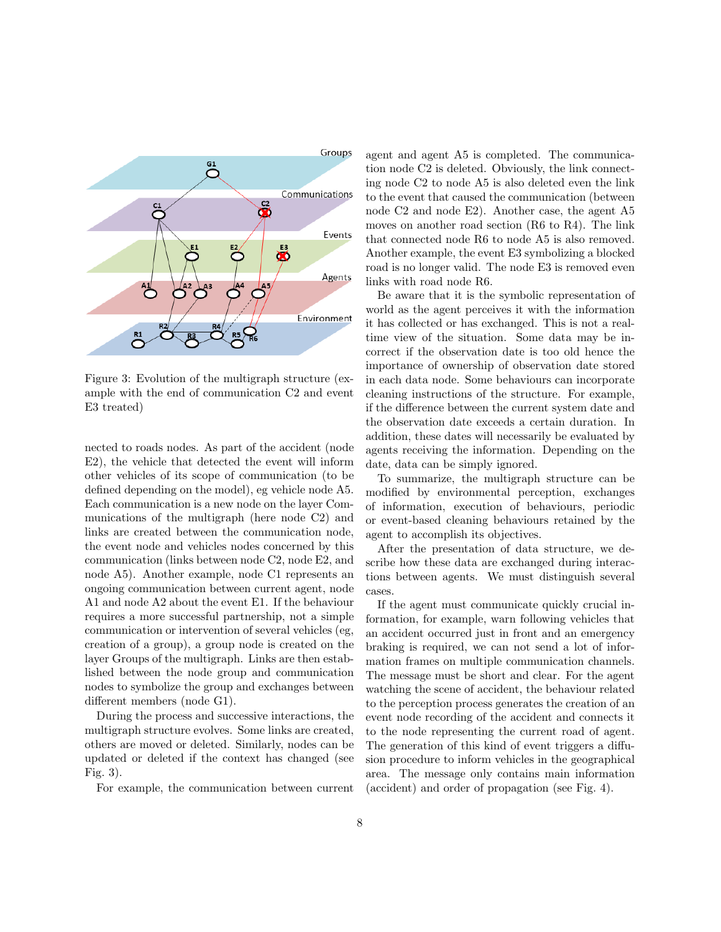

Figure 3: Evolution of the multigraph structure (example with the end of communication C2 and event E3 treated)

nected to roads nodes. As part of the accident (node E2), the vehicle that detected the event will inform other vehicles of its scope of communication (to be defined depending on the model), eg vehicle node A5. Each communication is a new node on the layer Communications of the multigraph (here node C2) and links are created between the communication node, the event node and vehicles nodes concerned by this communication (links between node C2, node E2, and node A5). Another example, node C1 represents an ongoing communication between current agent, node A1 and node A2 about the event E1. If the behaviour requires a more successful partnership, not a simple communication or intervention of several vehicles (eg, creation of a group), a group node is created on the layer Groups of the multigraph. Links are then established between the node group and communication nodes to symbolize the group and exchanges between different members (node G1).

During the process and successive interactions, the multigraph structure evolves. Some links are created, others are moved or deleted. Similarly, nodes can be updated or deleted if the context has changed (see Fig. 3).

For example, the communication between current

agent and agent A5 is completed. The communication node C2 is deleted. Obviously, the link connecting node C2 to node A5 is also deleted even the link to the event that caused the communication (between node C2 and node E2). Another case, the agent A5 moves on another road section (R6 to R4). The link that connected node R6 to node A5 is also removed. Another example, the event E3 symbolizing a blocked road is no longer valid. The node E3 is removed even links with road node R6.

Be aware that it is the symbolic representation of world as the agent perceives it with the information it has collected or has exchanged. This is not a realtime view of the situation. Some data may be incorrect if the observation date is too old hence the importance of ownership of observation date stored in each data node. Some behaviours can incorporate cleaning instructions of the structure. For example, if the difference between the current system date and the observation date exceeds a certain duration. In addition, these dates will necessarily be evaluated by agents receiving the information. Depending on the date, data can be simply ignored.

To summarize, the multigraph structure can be modified by environmental perception, exchanges of information, execution of behaviours, periodic or event-based cleaning behaviours retained by the agent to accomplish its objectives.

After the presentation of data structure, we describe how these data are exchanged during interactions between agents. We must distinguish several cases.

If the agent must communicate quickly crucial information, for example, warn following vehicles that an accident occurred just in front and an emergency braking is required, we can not send a lot of information frames on multiple communication channels. The message must be short and clear. For the agent watching the scene of accident, the behaviour related to the perception process generates the creation of an event node recording of the accident and connects it to the node representing the current road of agent. The generation of this kind of event triggers a diffusion procedure to inform vehicles in the geographical area. The message only contains main information (accident) and order of propagation (see Fig. 4).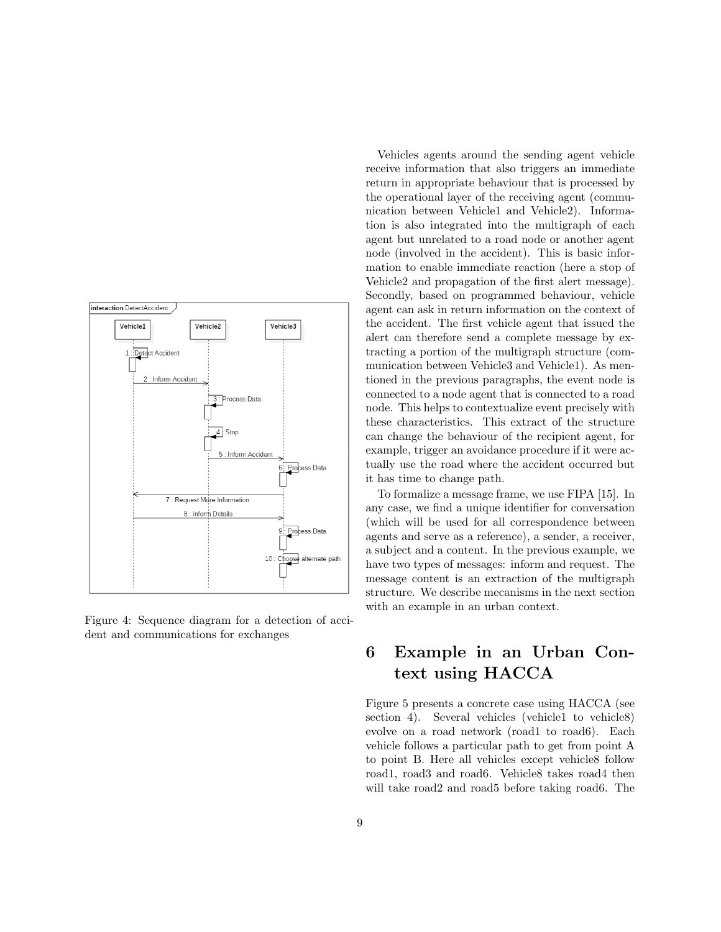

Figure 4: Sequence diagram for a detection of accident and communications for exchanges

Vehicles agents around the sending agent vehicle receive information that also triggers an immediate return in appropriate behaviour that is processed by the operational layer of the receiving agent (communication between Vehicle1 and Vehicle2). Information is also integrated into the multigraph of each agent but unrelated to a road node or another agent node (involved in the accident). This is basic information to enable immediate reaction (here a stop of Vehicle2 and propagation of the first alert message). Secondly, based on programmed behaviour, vehicle agent can ask in return information on the context of the accident. The first vehicle agent that issued the alert can therefore send a complete message by extracting a portion of the multigraph structure (communication between Vehicle3 and Vehicle1). As mentioned in the previous paragraphs, the event node is connected to a node agent that is connected to a road node. This helps to contextualize event precisely with these characteristics. This extract of the structure can change the behaviour of the recipient agent, for example, trigger an avoidance procedure if it were actually use the road where the accident occurred but it has time to change path.

To formalize a message frame, we use FIPA [15]. In any case, we find a unique identifier for conversation (which will be used for all correspondence between agents and serve as a reference), a sender, a receiver, a subject and a content. In the previous example, we have two types of messages: inform and request. The message content is an extraction of the multigraph structure. We describe mecanisms in the next section with an example in an urban context.

## 6 Example in an Urban Context using HACCA

Figure 5 presents a concrete case using HACCA (see section 4). Several vehicles (vehicle1 to vehicle8) evolve on a road network (road1 to road6). Each vehicle follows a particular path to get from point A to point B. Here all vehicles except vehicle8 follow road1, road3 and road6. Vehicle8 takes road4 then will take road2 and road5 before taking road6. The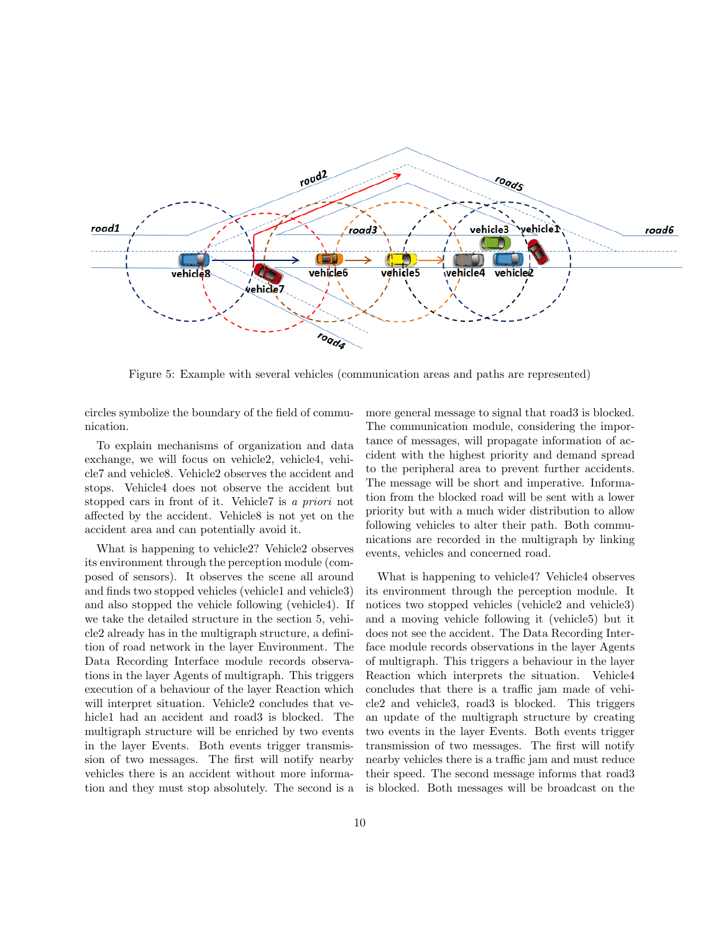

Figure 5: Example with several vehicles (communication areas and paths are represented)

circles symbolize the boundary of the field of communication.

To explain mechanisms of organization and data exchange, we will focus on vehicle2, vehicle4, vehicle7 and vehicle8. Vehicle2 observes the accident and stops. Vehicle4 does not observe the accident but stopped cars in front of it. Vehicle7 is a priori not affected by the accident. Vehicle8 is not yet on the accident area and can potentially avoid it.

What is happening to vehicle2? Vehicle2 observes its environment through the perception module (composed of sensors). It observes the scene all around and finds two stopped vehicles (vehicle1 and vehicle3) and also stopped the vehicle following (vehicle4). If we take the detailed structure in the section 5, vehicle2 already has in the multigraph structure, a definition of road network in the layer Environment. The Data Recording Interface module records observations in the layer Agents of multigraph. This triggers execution of a behaviour of the layer Reaction which will interpret situation. Vehicle2 concludes that vehicle1 had an accident and road3 is blocked. The multigraph structure will be enriched by two events in the layer Events. Both events trigger transmission of two messages. The first will notify nearby vehicles there is an accident without more information and they must stop absolutely. The second is a more general message to signal that road3 is blocked. The communication module, considering the importance of messages, will propagate information of accident with the highest priority and demand spread to the peripheral area to prevent further accidents. The message will be short and imperative. Information from the blocked road will be sent with a lower priority but with a much wider distribution to allow following vehicles to alter their path. Both communications are recorded in the multigraph by linking events, vehicles and concerned road.

What is happening to vehicle4? Vehicle4 observes its environment through the perception module. It notices two stopped vehicles (vehicle2 and vehicle3) and a moving vehicle following it (vehicle5) but it does not see the accident. The Data Recording Interface module records observations in the layer Agents of multigraph. This triggers a behaviour in the layer Reaction which interprets the situation. Vehicle4 concludes that there is a traffic jam made of vehicle2 and vehicle3, road3 is blocked. This triggers an update of the multigraph structure by creating two events in the layer Events. Both events trigger transmission of two messages. The first will notify nearby vehicles there is a traffic jam and must reduce their speed. The second message informs that road3 is blocked. Both messages will be broadcast on the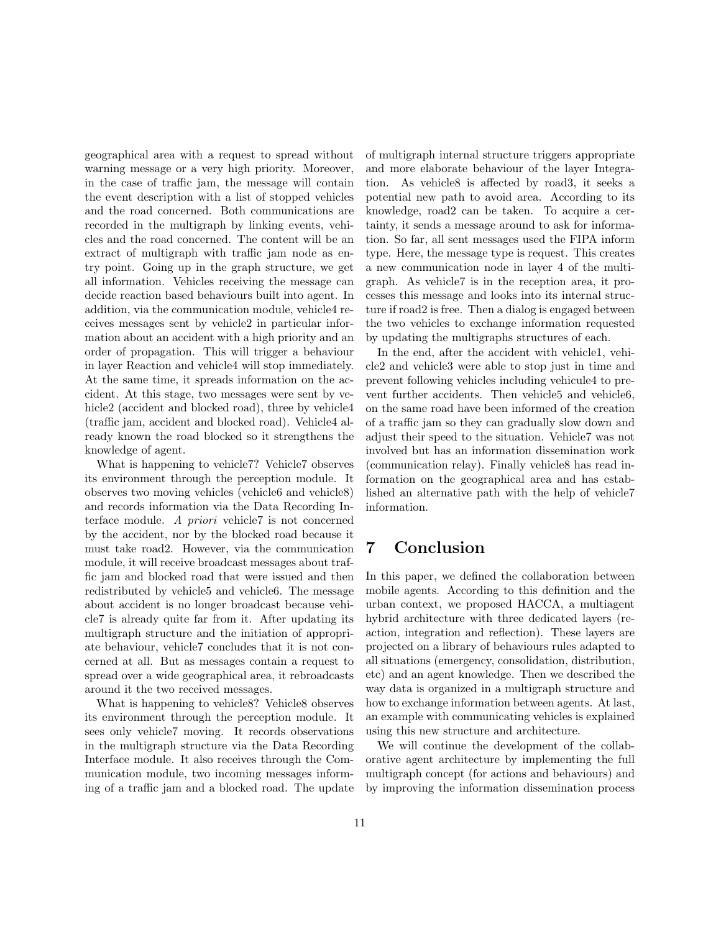geographical area with a request to spread without warning message or a very high priority. Moreover, in the case of traffic jam, the message will contain the event description with a list of stopped vehicles and the road concerned. Both communications are recorded in the multigraph by linking events, vehicles and the road concerned. The content will be an extract of multigraph with traffic jam node as entry point. Going up in the graph structure, we get all information. Vehicles receiving the message can decide reaction based behaviours built into agent. In addition, via the communication module, vehicle4 receives messages sent by vehicle2 in particular information about an accident with a high priority and an order of propagation. This will trigger a behaviour in layer Reaction and vehicle4 will stop immediately. At the same time, it spreads information on the accident. At this stage, two messages were sent by vehicle2 (accident and blocked road), three by vehicle4 (traffic jam, accident and blocked road). Vehicle4 already known the road blocked so it strengthens the knowledge of agent.

What is happening to vehicle7? Vehicle7 observes its environment through the perception module. It observes two moving vehicles (vehicle6 and vehicle8) and records information via the Data Recording Interface module. A priori vehicle7 is not concerned by the accident, nor by the blocked road because it must take road2. However, via the communication module, it will receive broadcast messages about traffic jam and blocked road that were issued and then redistributed by vehicle5 and vehicle6. The message about accident is no longer broadcast because vehicle7 is already quite far from it. After updating its multigraph structure and the initiation of appropriate behaviour, vehicle7 concludes that it is not concerned at all. But as messages contain a request to spread over a wide geographical area, it rebroadcasts around it the two received messages.

What is happening to vehicle8? Vehicle8 observes its environment through the perception module. It sees only vehicle7 moving. It records observations in the multigraph structure via the Data Recording Interface module. It also receives through the Communication module, two incoming messages informing of a traffic jam and a blocked road. The update of multigraph internal structure triggers appropriate and more elaborate behaviour of the layer Integration. As vehicle8 is affected by road3, it seeks a potential new path to avoid area. According to its knowledge, road2 can be taken. To acquire a certainty, it sends a message around to ask for information. So far, all sent messages used the FIPA inform type. Here, the message type is request. This creates a new communication node in layer 4 of the multigraph. As vehicle7 is in the reception area, it processes this message and looks into its internal structure if road2 is free. Then a dialog is engaged between the two vehicles to exchange information requested by updating the multigraphs structures of each.

In the end, after the accident with vehicle1, vehicle2 and vehicle3 were able to stop just in time and prevent following vehicles including vehicule4 to prevent further accidents. Then vehicle5 and vehicle6, on the same road have been informed of the creation of a traffic jam so they can gradually slow down and adjust their speed to the situation. Vehicle7 was not involved but has an information dissemination work (communication relay). Finally vehicle8 has read information on the geographical area and has established an alternative path with the help of vehicle7 information.

## 7 Conclusion

In this paper, we defined the collaboration between mobile agents. According to this definition and the urban context, we proposed HACCA, a multiagent hybrid architecture with three dedicated layers (reaction, integration and reflection). These layers are projected on a library of behaviours rules adapted to all situations (emergency, consolidation, distribution, etc) and an agent knowledge. Then we described the way data is organized in a multigraph structure and how to exchange information between agents. At last, an example with communicating vehicles is explained using this new structure and architecture.

We will continue the development of the collaborative agent architecture by implementing the full multigraph concept (for actions and behaviours) and by improving the information dissemination process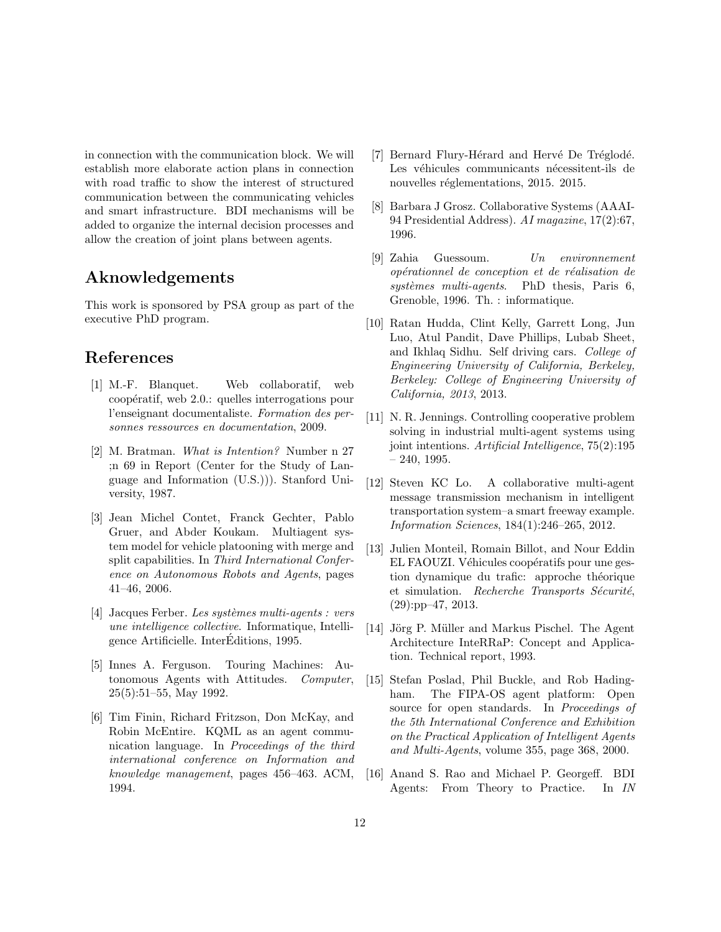in connection with the communication block. We will establish more elaborate action plans in connection with road traffic to show the interest of structured communication between the communicating vehicles and smart infrastructure. BDI mechanisms will be added to organize the internal decision processes and allow the creation of joint plans between agents.

## Aknowledgements

This work is sponsored by PSA group as part of the executive PhD program.

### References

- [1] M.-F. Blanquet. Web collaboratif, web coopératif, web 2.0.: quelles interrogations pour l'enseignant documentaliste. Formation des personnes ressources en documentation, 2009.
- [2] M. Bratman. What is Intention? Number n 27 ;n 69 in Report (Center for the Study of Language and Information (U.S.))). Stanford University, 1987.
- [3] Jean Michel Contet, Franck Gechter, Pablo Gruer, and Abder Koukam. Multiagent system model for vehicle platooning with merge and split capabilities. In Third International Conference on Autonomous Robots and Agents, pages 41–46, 2006.
- [4] Jacques Ferber. Les systèmes multi-agents : vers une intelligence collective. Informatique, Intelligence Artificielle. InterÉditions, 1995.
- [5] Innes A. Ferguson. Touring Machines: Autonomous Agents with Attitudes. Computer, 25(5):51–55, May 1992.
- [6] Tim Finin, Richard Fritzson, Don McKay, and Robin McEntire. KQML as an agent communication language. In Proceedings of the third international conference on Information and knowledge management, pages 456–463. ACM, 1994.
- [7] Bernard Flury-Hérard and Hervé De Tréglodé. Les véhicules communicants nécessitent-ils de nouvelles réglementations, 2015. 2015.
- [8] Barbara J Grosz. Collaborative Systems (AAAI-94 Presidential Address). AI magazine, 17(2):67, 1996.
- [9] Zahia Guessoum. Un environnement opérationnel de conception et de réalisation de  $syst\`emes multi-agents.$  PhD thesis, Paris 6, Grenoble, 1996. Th. : informatique.
- [10] Ratan Hudda, Clint Kelly, Garrett Long, Jun Luo, Atul Pandit, Dave Phillips, Lubab Sheet, and Ikhlaq Sidhu. Self driving cars. College of Engineering University of California, Berkeley, Berkeley: College of Engineering University of California, 2013, 2013.
- [11] N. R. Jennings. Controlling cooperative problem solving in industrial multi-agent systems using joint intentions. Artificial Intelligence, 75(2):195  $-240, 1995.$
- [12] Steven KC Lo. A collaborative multi-agent message transmission mechanism in intelligent transportation system–a smart freeway example. Information Sciences, 184(1):246–265, 2012.
- [13] Julien Monteil, Romain Billot, and Nour Eddin EL FAOUZI. Véhicules coopératifs pour une gestion dynamique du trafic: approche théorique et simulation. Recherche Transports Sécurité,  $(29):pp-47, 2013.$
- [14] Jörg P. Müller and Markus Pischel. The Agent Architecture InteRRaP: Concept and Application. Technical report, 1993.
- [15] Stefan Poslad, Phil Buckle, and Rob Hadingham. The FIPA-OS agent platform: Open source for open standards. In *Proceedings of* the 5th International Conference and Exhibition on the Practical Application of Intelligent Agents and Multi-Agents, volume 355, page 368, 2000.
- [16] Anand S. Rao and Michael P. Georgeff. BDI Agents: From Theory to Practice. In IN